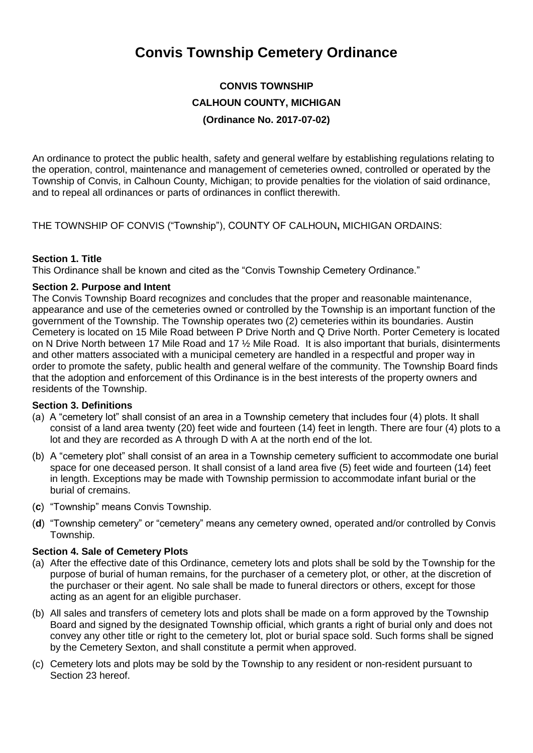# **Convis Township Cemetery Ordinance**

# **CONVIS TOWNSHIP CALHOUN COUNTY, MICHIGAN (Ordinance No. 2017-07-02)**

An ordinance to protect the public health, safety and general welfare by establishing regulations relating to the operation, control, maintenance and management of cemeteries owned, controlled or operated by the Township of Convis, in Calhoun County, Michigan; to provide penalties for the violation of said ordinance, and to repeal all ordinances or parts of ordinances in conflict therewith.

THE TOWNSHIP OF CONVIS ("Township"), COUNTY OF CALHOUN**,** MICHIGAN ORDAINS:

#### **Section 1. Title**

This Ordinance shall be known and cited as the "Convis Township Cemetery Ordinance."

#### **Section 2. Purpose and Intent**

The Convis Township Board recognizes and concludes that the proper and reasonable maintenance, appearance and use of the cemeteries owned or controlled by the Township is an important function of the government of the Township. The Township operates two (2) cemeteries within its boundaries. Austin Cemetery is located on 15 Mile Road between P Drive North and Q Drive North. Porter Cemetery is located on N Drive North between 17 Mile Road and 17 ½ Mile Road. It is also important that burials, disinterments and other matters associated with a municipal cemetery are handled in a respectful and proper way in order to promote the safety, public health and general welfare of the community. The Township Board finds that the adoption and enforcement of this Ordinance is in the best interests of the property owners and residents of the Township.

#### **Section 3. Definitions**

- (a) A "cemetery lot" shall consist of an area in a Township cemetery that includes four (4) plots. It shall consist of a land area twenty (20) feet wide and fourteen (14) feet in length. There are four (4) plots to a lot and they are recorded as A through D with A at the north end of the lot.
- (b) A "cemetery plot" shall consist of an area in a Township cemetery sufficient to accommodate one burial space for one deceased person. It shall consist of a land area five (5) feet wide and fourteen (14) feet in length. Exceptions may be made with Township permission to accommodate infant burial or the burial of cremains.
- (**c**) "Township" means Convis Township.
- (**d**) "Township cemetery" or "cemetery" means any cemetery owned, operated and/or controlled by Convis Township.

#### **Section 4. Sale of Cemetery Plots**

- (a) After the effective date of this Ordinance, cemetery lots and plots shall be sold by the Township for the purpose of burial of human remains, for the purchaser of a cemetery plot, or other, at the discretion of the purchaser or their agent. No sale shall be made to funeral directors or others, except for those acting as an agent for an eligible purchaser.
- (b) All sales and transfers of cemetery lots and plots shall be made on a form approved by the Township Board and signed by the designated Township official, which grants a right of burial only and does not convey any other title or right to the cemetery lot, plot or burial space sold. Such forms shall be signed by the Cemetery Sexton, and shall constitute a permit when approved.
- (c) Cemetery lots and plots may be sold by the Township to any resident or non-resident pursuant to Section 23 hereof.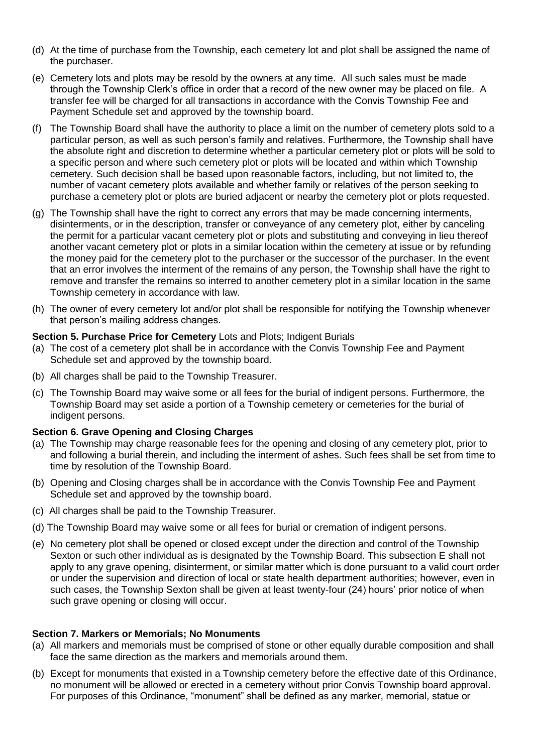- (d) At the time of purchase from the Township, each cemetery lot and plot shall be assigned the name of the purchaser.
- (e) Cemetery lots and plots may be resold by the owners at any time. All such sales must be made through the Township Clerk's office in order that a record of the new owner may be placed on file. A transfer fee will be charged for all transactions in accordance with the Convis Township Fee and Payment Schedule set and approved by the township board.
- (f) The Township Board shall have the authority to place a limit on the number of cemetery plots sold to a particular person, as well as such person's family and relatives. Furthermore, the Township shall have the absolute right and discretion to determine whether a particular cemetery plot or plots will be sold to a specific person and where such cemetery plot or plots will be located and within which Township cemetery. Such decision shall be based upon reasonable factors, including, but not limited to, the number of vacant cemetery plots available and whether family or relatives of the person seeking to purchase a cemetery plot or plots are buried adjacent or nearby the cemetery plot or plots requested.
- (g) The Township shall have the right to correct any errors that may be made concerning interments, disinterments, or in the description, transfer or conveyance of any cemetery plot, either by canceling the permit for a particular vacant cemetery plot or plots and substituting and conveying in lieu thereof another vacant cemetery plot or plots in a similar location within the cemetery at issue or by refunding the money paid for the cemetery plot to the purchaser or the successor of the purchaser. In the event that an error involves the interment of the remains of any person, the Township shall have the right to remove and transfer the remains so interred to another cemetery plot in a similar location in the same Township cemetery in accordance with law.
- (h) The owner of every cemetery lot and/or plot shall be responsible for notifying the Township whenever that person's mailing address changes.

#### **Section 5. Purchase Price for Cemetery** Lots and Plots; Indigent Burials

- (a) The cost of a cemetery plot shall be in accordance with the Convis Township Fee and Payment Schedule set and approved by the township board.
- (b) All charges shall be paid to the Township Treasurer.
- (c) The Township Board may waive some or all fees for the burial of indigent persons. Furthermore, the Township Board may set aside a portion of a Township cemetery or cemeteries for the burial of indigent persons.

#### **Section 6. Grave Opening and Closing Charges**

- (a) The Township may charge reasonable fees for the opening and closing of any cemetery plot, prior to and following a burial therein, and including the interment of ashes. Such fees shall be set from time to time by resolution of the Township Board.
- (b) Opening and Closing charges shall be in accordance with the Convis Township Fee and Payment Schedule set and approved by the township board.
- (c) All charges shall be paid to the Township Treasurer.
- (d) The Township Board may waive some or all fees for burial or cremation of indigent persons.
- (e) No cemetery plot shall be opened or closed except under the direction and control of the Township Sexton or such other individual as is designated by the Township Board. This subsection E shall not apply to any grave opening, disinterment, or similar matter which is done pursuant to a valid court order or under the supervision and direction of local or state health department authorities; however, even in such cases, the Township Sexton shall be given at least twenty-four (24) hours' prior notice of when such grave opening or closing will occur.

#### **Section 7. Markers or Memorials; No Monuments**

- (a) All markers and memorials must be comprised of stone or other equally durable composition and shall face the same direction as the markers and memorials around them.
- (b) Except for monuments that existed in a Township cemetery before the effective date of this Ordinance, no monument will be allowed or erected in a cemetery without prior Convis Township board approval. For purposes of this Ordinance, "monument" shall be defined as any marker, memorial, statue or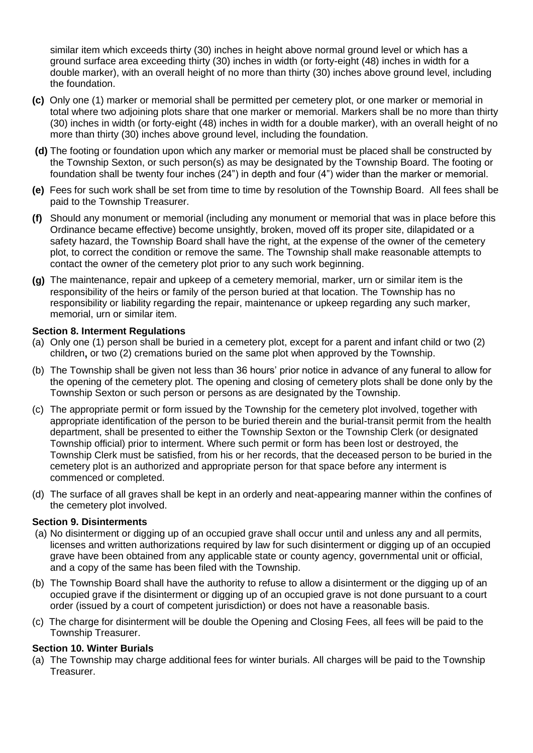similar item which exceeds thirty (30) inches in height above normal ground level or which has a ground surface area exceeding thirty (30) inches in width (or forty-eight (48) inches in width for a double marker), with an overall height of no more than thirty (30) inches above ground level, including the foundation.

- **(c)** Only one (1) marker or memorial shall be permitted per cemetery plot, or one marker or memorial in total where two adjoining plots share that one marker or memorial. Markers shall be no more than thirty (30) inches in width (or forty-eight (48) inches in width for a double marker), with an overall height of no more than thirty (30) inches above ground level, including the foundation.
- **(d)** The footing or foundation upon which any marker or memorial must be placed shall be constructed by the Township Sexton, or such person(s) as may be designated by the Township Board. The footing or foundation shall be twenty four inches (24") in depth and four (4") wider than the marker or memorial.
- **(e)** Fees for such work shall be set from time to time by resolution of the Township Board. All fees shall be paid to the Township Treasurer.
- **(f)** Should any monument or memorial (including any monument or memorial that was in place before this Ordinance became effective) become unsightly, broken, moved off its proper site, dilapidated or a safety hazard, the Township Board shall have the right, at the expense of the owner of the cemetery plot, to correct the condition or remove the same. The Township shall make reasonable attempts to contact the owner of the cemetery plot prior to any such work beginning.
- **(g)** The maintenance, repair and upkeep of a cemetery memorial, marker, urn or similar item is the responsibility of the heirs or family of the person buried at that location. The Township has no responsibility or liability regarding the repair, maintenance or upkeep regarding any such marker, memorial, urn or similar item.

#### **Section 8. Interment Regulations**

- (a) Only one (1) person shall be buried in a cemetery plot, except for a parent and infant child or two (2) children**,** or two (2) cremations buried on the same plot when approved by the Township.
- (b) The Township shall be given not less than 36 hours' prior notice in advance of any funeral to allow for the opening of the cemetery plot. The opening and closing of cemetery plots shall be done only by the Township Sexton or such person or persons as are designated by the Township.
- (c) The appropriate permit or form issued by the Township for the cemetery plot involved, together with appropriate identification of the person to be buried therein and the burial-transit permit from the health department, shall be presented to either the Township Sexton or the Township Clerk (or designated Township official) prior to interment. Where such permit or form has been lost or destroyed, the Township Clerk must be satisfied, from his or her records, that the deceased person to be buried in the cemetery plot is an authorized and appropriate person for that space before any interment is commenced or completed.
- (d) The surface of all graves shall be kept in an orderly and neat-appearing manner within the confines of the cemetery plot involved.

#### **Section 9. Disinterments**

- (a) No disinterment or digging up of an occupied grave shall occur until and unless any and all permits, licenses and written authorizations required by law for such disinterment or digging up of an occupied grave have been obtained from any applicable state or county agency, governmental unit or official, and a copy of the same has been filed with the Township.
- (b) The Township Board shall have the authority to refuse to allow a disinterment or the digging up of an occupied grave if the disinterment or digging up of an occupied grave is not done pursuant to a court order (issued by a court of competent jurisdiction) or does not have a reasonable basis.
- (c) The charge for disinterment will be double the Opening and Closing Fees, all fees will be paid to the Township Treasurer.

#### **Section 10. Winter Burials**

(a) The Township may charge additional fees for winter burials. All charges will be paid to the Township Treasurer.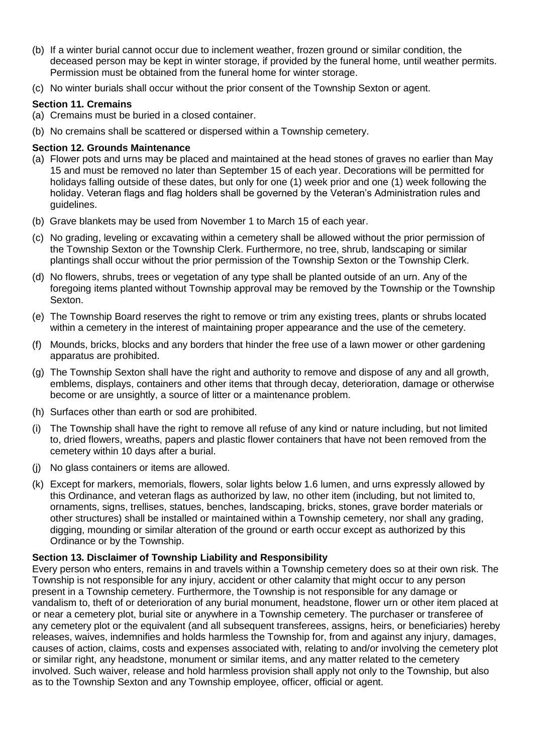- (b) If a winter burial cannot occur due to inclement weather, frozen ground or similar condition, the deceased person may be kept in winter storage, if provided by the funeral home, until weather permits. Permission must be obtained from the funeral home for winter storage.
- (c) No winter burials shall occur without the prior consent of the Township Sexton or agent.

# **Section 11. Cremains**

- (a) Cremains must be buried in a closed container.
- (b) No cremains shall be scattered or dispersed within a Township cemetery.

# **Section 12. Grounds Maintenance**

- (a) Flower pots and urns may be placed and maintained at the head stones of graves no earlier than May 15 and must be removed no later than September 15 of each year. Decorations will be permitted for holidays falling outside of these dates, but only for one (1) week prior and one (1) week following the holiday. Veteran flags and flag holders shall be governed by the Veteran's Administration rules and guidelines.
- (b)Grave blankets may be used from November 1 to March 15 of each year.
- (c) No grading, leveling or excavating within a cemetery shall be allowed without the prior permission of the Township Sexton or the Township Clerk. Furthermore, no tree, shrub, landscaping or similar plantings shall occur without the prior permission of the Township Sexton or the Township Clerk.
- (d) No flowers, shrubs, trees or vegetation of any type shall be planted outside of an urn. Any of the foregoing items planted without Township approval may be removed by the Township or the Township Sexton.
- (e) The Township Board reserves the right to remove or trim any existing trees, plants or shrubs located within a cemetery in the interest of maintaining proper appearance and the use of the cemetery.
- (f) Mounds, bricks, blocks and any borders that hinder the free use of a lawn mower or other gardening apparatus are prohibited.
- (g) The Township Sexton shall have the right and authority to remove and dispose of any and all growth, emblems, displays, containers and other items that through decay, deterioration, damage or otherwise become or are unsightly, a source of litter or a maintenance problem.
- (h) Surfaces other than earth or sod are prohibited.
- (i) The Township shall have the right to remove all refuse of any kind or nature including, but not limited to, dried flowers, wreaths, papers and plastic flower containers that have not been removed from the cemetery within 10 days after a burial.
- (j) No glass containers or items are allowed.
- (k) Except for markers, memorials, flowers, solar lights below 1.6 lumen, and urns expressly allowed by this Ordinance, and veteran flags as authorized by law, no other item (including, but not limited to, ornaments, signs, trellises, statues, benches, landscaping, bricks, stones, grave border materials or other structures) shall be installed or maintained within a Township cemetery, nor shall any grading, digging, mounding or similar alteration of the ground or earth occur except as authorized by this Ordinance or by the Township.

# **Section 13. Disclaimer of Township Liability and Responsibility**

Every person who enters, remains in and travels within a Township cemetery does so at their own risk. The Township is not responsible for any injury, accident or other calamity that might occur to any person present in a Township cemetery. Furthermore, the Township is not responsible for any damage or vandalism to, theft of or deterioration of any burial monument, headstone, flower urn or other item placed at or near a cemetery plot, burial site or anywhere in a Township cemetery. The purchaser or transferee of any cemetery plot or the equivalent (and all subsequent transferees, assigns, heirs, or beneficiaries) hereby releases, waives, indemnifies and holds harmless the Township for, from and against any injury, damages, causes of action, claims, costs and expenses associated with, relating to and/or involving the cemetery plot or similar right, any headstone, monument or similar items, and any matter related to the cemetery involved. Such waiver, release and hold harmless provision shall apply not only to the Township, but also as to the Township Sexton and any Township employee, officer, official or agent.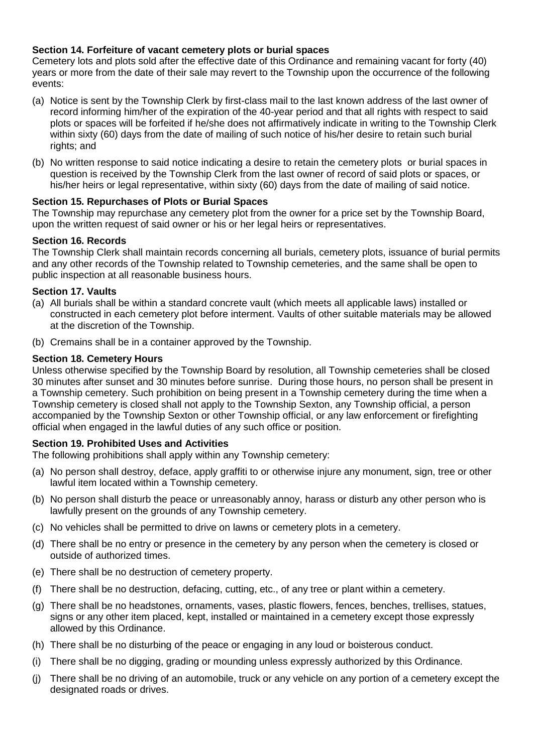# **Section 14. Forfeiture of vacant cemetery plots or burial spaces**

Cemetery lots and plots sold after the effective date of this Ordinance and remaining vacant for forty (40) years or more from the date of their sale may revert to the Township upon the occurrence of the following events:

- (a) Notice is sent by the Township Clerk by first-class mail to the last known address of the last owner of record informing him/her of the expiration of the 40-year period and that all rights with respect to said plots or spaces will be forfeited if he/she does not affirmatively indicate in writing to the Township Clerk within sixty (60) days from the date of mailing of such notice of his/her desire to retain such burial rights; and
- (b) No written response to said notice indicating a desire to retain the cemetery plots or burial spaces in question is received by the Township Clerk from the last owner of record of said plots or spaces, or his/her heirs or legal representative, within sixty (60) days from the date of mailing of said notice.

# **Section 15. Repurchases of Plots or Burial Spaces**

The Township may repurchase any cemetery plot from the owner for a price set by the Township Board, upon the written request of said owner or his or her legal heirs or representatives.

# **Section 16. Records**

The Township Clerk shall maintain records concerning all burials, cemetery plots, issuance of burial permits and any other records of the Township related to Township cemeteries, and the same shall be open to public inspection at all reasonable business hours.

# **Section 17. Vaults**

- (a) All burials shall be within a standard concrete vault (which meets all applicable laws) installed or constructed in each cemetery plot before interment. Vaults of other suitable materials may be allowed at the discretion of the Township.
- (b) Cremains shall be in a container approved by the Township.

#### **Section 18. Cemetery Hours**

Unless otherwise specified by the Township Board by resolution, all Township cemeteries shall be closed 30 minutes after sunset and 30 minutes before sunrise. During those hours, no person shall be present in a Township cemetery. Such prohibition on being present in a Township cemetery during the time when a Township cemetery is closed shall not apply to the Township Sexton, any Township official, a person accompanied by the Township Sexton or other Township official, or any law enforcement or firefighting official when engaged in the lawful duties of any such office or position.

# **Section 19. Prohibited Uses and Activities**

The following prohibitions shall apply within any Township cemetery:

- (a) No person shall destroy, deface, apply graffiti to or otherwise injure any monument, sign, tree or other lawful item located within a Township cemetery.
- (b) No person shall disturb the peace or unreasonably annoy, harass or disturb any other person who is lawfully present on the grounds of any Township cemetery.
- (c) No vehicles shall be permitted to drive on lawns or cemetery plots in a cemetery.
- (d) There shall be no entry or presence in the cemetery by any person when the cemetery is closed or outside of authorized times.
- (e) There shall be no destruction of cemetery property.
- (f) There shall be no destruction, defacing, cutting, etc., of any tree or plant within a cemetery.
- (g) There shall be no headstones, ornaments, vases, plastic flowers, fences, benches, trellises, statues, signs or any other item placed, kept, installed or maintained in a cemetery except those expressly allowed by this Ordinance.
- (h) There shall be no disturbing of the peace or engaging in any loud or boisterous conduct.
- (i) There shall be no digging, grading or mounding unless expressly authorized by this Ordinance.
- (j) There shall be no driving of an automobile, truck or any vehicle on any portion of a cemetery except the designated roads or drives.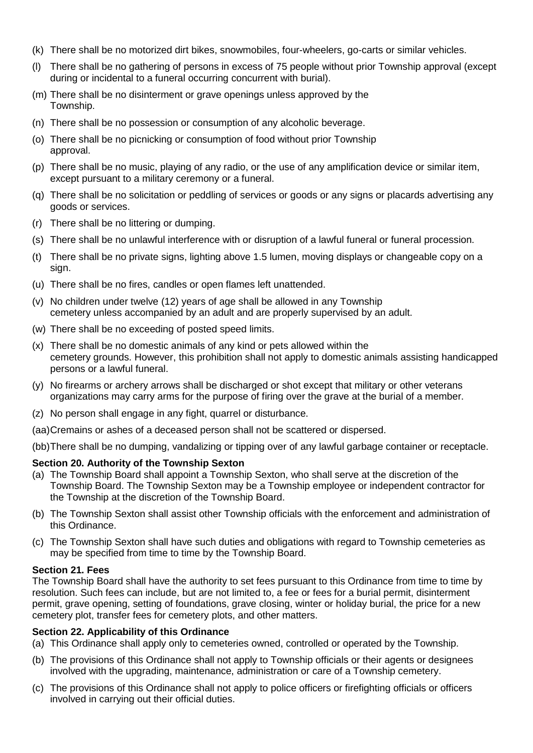- (k) There shall be no motorized dirt bikes, snowmobiles, four-wheelers, go-carts or similar vehicles.
- (l) There shall be no gathering of persons in excess of 75 people without prior Township approval (except during or incidental to a funeral occurring concurrent with burial).
- (m) There shall be no disinterment or grave openings unless approved by the Township.
- (n) There shall be no possession or consumption of any alcoholic beverage.
- (o) There shall be no picnicking or consumption of food without prior Township approval.
- (p) There shall be no music, playing of any radio, or the use of any amplification device or similar item, except pursuant to a military ceremony or a funeral.
- (q) There shall be no solicitation or peddling of services or goods or any signs or placards advertising any goods or services.
- (r) There shall be no littering or dumping.
- (s) There shall be no unlawful interference with or disruption of a lawful funeral or funeral procession.
- (t) There shall be no private signs, lighting above 1.5 lumen, moving displays or changeable copy on a sign.
- (u) There shall be no fires, candles or open flames left unattended.
- (v) No children under twelve (12) years of age shall be allowed in any Township cemetery unless accompanied by an adult and are properly supervised by an adult.
- (w) There shall be no exceeding of posted speed limits.
- (x) There shall be no domestic animals of any kind or pets allowed within the cemetery grounds. However, this prohibition shall not apply to domestic animals assisting handicapped persons or a lawful funeral.
- (y) No firearms or archery arrows shall be discharged or shot except that military or other veterans organizations may carry arms for the purpose of firing over the grave at the burial of a member.
- (z) No person shall engage in any fight, quarrel or disturbance.
- (aa)Cremains or ashes of a deceased person shall not be scattered or dispersed.

(bb)There shall be no dumping, vandalizing or tipping over of any lawful garbage container or receptacle.

# **Section 20. Authority of the Township Sexton**

- (a) The Township Board shall appoint a Township Sexton, who shall serve at the discretion of the Township Board. The Township Sexton may be a Township employee or independent contractor for the Township at the discretion of the Township Board.
- (b) The Township Sexton shall assist other Township officials with the enforcement and administration of this Ordinance.
- (c) The Township Sexton shall have such duties and obligations with regard to Township cemeteries as may be specified from time to time by the Township Board.

# **Section 21. Fees**

The Township Board shall have the authority to set fees pursuant to this Ordinance from time to time by resolution. Such fees can include, but are not limited to, a fee or fees for a burial permit, disinterment permit, grave opening, setting of foundations, grave closing, winter or holiday burial, the price for a new cemetery plot, transfer fees for cemetery plots, and other matters.

# **Section 22. Applicability of this Ordinance**

- (a) This Ordinance shall apply only to cemeteries owned, controlled or operated by the Township.
- (b) The provisions of this Ordinance shall not apply to Township officials or their agents or designees involved with the upgrading, maintenance, administration or care of a Township cemetery.
- (c) The provisions of this Ordinance shall not apply to police officers or firefighting officials or officers involved in carrying out their official duties.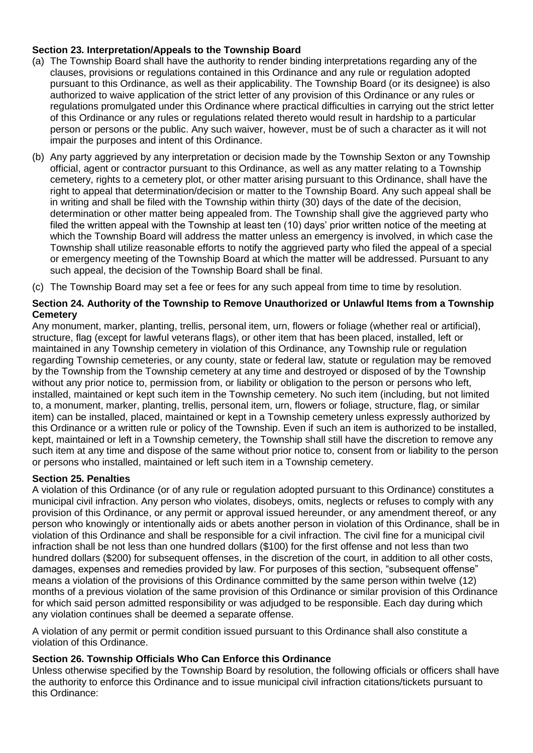# **Section 23. Interpretation/Appeals to the Township Board**

- (a) The Township Board shall have the authority to render binding interpretations regarding any of the clauses, provisions or regulations contained in this Ordinance and any rule or regulation adopted pursuant to this Ordinance, as well as their applicability. The Township Board (or its designee) is also authorized to waive application of the strict letter of any provision of this Ordinance or any rules or regulations promulgated under this Ordinance where practical difficulties in carrying out the strict letter of this Ordinance or any rules or regulations related thereto would result in hardship to a particular person or persons or the public. Any such waiver, however, must be of such a character as it will not impair the purposes and intent of this Ordinance.
- (b) Any party aggrieved by any interpretation or decision made by the Township Sexton or any Township official, agent or contractor pursuant to this Ordinance, as well as any matter relating to a Township cemetery, rights to a cemetery plot, or other matter arising pursuant to this Ordinance, shall have the right to appeal that determination/decision or matter to the Township Board. Any such appeal shall be in writing and shall be filed with the Township within thirty (30) days of the date of the decision, determination or other matter being appealed from. The Township shall give the aggrieved party who filed the written appeal with the Township at least ten (10) days' prior written notice of the meeting at which the Township Board will address the matter unless an emergency is involved, in which case the Township shall utilize reasonable efforts to notify the aggrieved party who filed the appeal of a special or emergency meeting of the Township Board at which the matter will be addressed. Pursuant to any such appeal, the decision of the Township Board shall be final.
- (c) The Township Board may set a fee or fees for any such appeal from time to time by resolution.

## **Section 24. Authority of the Township to Remove Unauthorized or Unlawful Items from a Township Cemetery**

Any monument, marker, planting, trellis, personal item, urn, flowers or foliage (whether real or artificial), structure, flag (except for lawful veterans flags), or other item that has been placed, installed, left or maintained in any Township cemetery in violation of this Ordinance, any Township rule or regulation regarding Township cemeteries, or any county, state or federal law, statute or regulation may be removed by the Township from the Township cemetery at any time and destroyed or disposed of by the Township without any prior notice to, permission from, or liability or obligation to the person or persons who left, installed, maintained or kept such item in the Township cemetery. No such item (including, but not limited to, a monument, marker, planting, trellis, personal item, urn, flowers or foliage, structure, flag, or similar item) can be installed, placed, maintained or kept in a Township cemetery unless expressly authorized by this Ordinance or a written rule or policy of the Township. Even if such an item is authorized to be installed, kept, maintained or left in a Township cemetery, the Township shall still have the discretion to remove any such item at any time and dispose of the same without prior notice to, consent from or liability to the person or persons who installed, maintained or left such item in a Township cemetery.

#### **Section 25. Penalties**

A violation of this Ordinance (or of any rule or regulation adopted pursuant to this Ordinance) constitutes a municipal civil infraction. Any person who violates, disobeys, omits, neglects or refuses to comply with any provision of this Ordinance, or any permit or approval issued hereunder, or any amendment thereof, or any person who knowingly or intentionally aids or abets another person in violation of this Ordinance, shall be in violation of this Ordinance and shall be responsible for a civil infraction. The civil fine for a municipal civil infraction shall be not less than one hundred dollars (\$100) for the first offense and not less than two hundred dollars (\$200) for subsequent offenses, in the discretion of the court, in addition to all other costs, damages, expenses and remedies provided by law. For purposes of this section, "subsequent offense" means a violation of the provisions of this Ordinance committed by the same person within twelve (12) months of a previous violation of the same provision of this Ordinance or similar provision of this Ordinance for which said person admitted responsibility or was adjudged to be responsible. Each day during which any violation continues shall be deemed a separate offense.

A violation of any permit or permit condition issued pursuant to this Ordinance shall also constitute a violation of this Ordinance.

#### **Section 26. Township Officials Who Can Enforce this Ordinance**

Unless otherwise specified by the Township Board by resolution, the following officials or officers shall have the authority to enforce this Ordinance and to issue municipal civil infraction citations/tickets pursuant to this Ordinance: